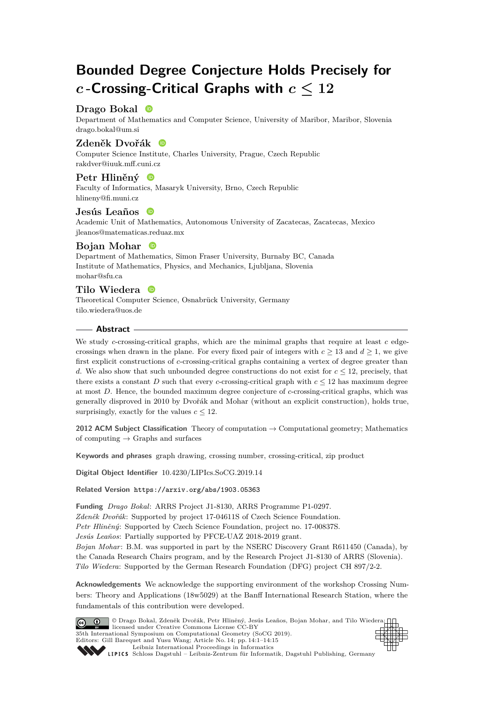# **Bounded Degree Conjecture Holds Precisely for** *c* **-Crossing-Critical Graphs with** *c* **≤ 12**

# Drago Bokal <sup>®</sup>

Department of Mathematics and Computer Science, University of Maribor, Maribor, Slovenia [drago.bokal@um.si](mailto:drago.bokal@um.si)

## **Zdeněk Dvořák**

Computer Science Institute, Charles University, Prague, Czech Republic [rakdver@iuuk.mff.cuni.cz](mailto:rakdver@iuuk.mff.cuni.cz)

# **Petr Hliněný**

Faculty of Informatics, Masaryk University, Brno, Czech Republic [hlineny@fi.muni.cz](mailto:hlineny@fi.muni.cz)

# **Jesús Leaños**

Academic Unit of Mathematics, Autonomous University of Zacatecas, Zacatecas, Mexico [jleanos@matematicas.reduaz.mx](mailto:jleanos@matematicas.reduaz.mx)

# **Bojan Mohar**

Department of Mathematics, Simon Fraser University, Burnaby BC, Canada Institute of Mathematics, Physics, and Mechanics, Ljubljana, Slovenia [mohar@sfu.ca](mailto:mohar@sfu.ca)

# **Tilo Wiedera**

Theoretical Computer Science, Osnabrück University, Germany [tilo.wiedera@uos.de](mailto:tilo.wiedera@uos.de)

## **Abstract**

We study *c*-crossing-critical graphs, which are the minimal graphs that require at least *c* edgecrossings when drawn in the plane. For every fixed pair of integers with  $c \geq 13$  and  $d \geq 1$ , we give first explicit constructions of *c*-crossing-critical graphs containing a vertex of degree greater than *d*. We also show that such unbounded degree constructions do not exist for  $c \leq 12$ , precisely, that there exists a constant *D* such that every *c*-crossing-critical graph with  $c \leq 12$  has maximum degree at most *D*. Hence, the bounded maximum degree conjecture of *c*-crossing-critical graphs, which was generally disproved in 2010 by Dvořák and Mohar (without an explicit construction), holds true, surprisingly, exactly for the values  $c \leq 12$ .

**2012 ACM Subject Classification** Theory of computation → Computational geometry; Mathematics of computing  $\rightarrow$  Graphs and surfaces

**Keywords and phrases** graph drawing, crossing number, crossing-critical, zip product

**Digital Object Identifier** [10.4230/LIPIcs.SoCG.2019.14](https://doi.org/10.4230/LIPIcs.SoCG.2019.14)

**Related Version** <https://arxiv.org/abs/1903.05363>

**Funding** *Drago Bokal*: ARRS Project J1-8130, ARRS Programme P1-0297. *Zdeněk Dvořák*: Supported by project 17-04611S of Czech Science Foundation. *Petr Hliněný*: Supported by Czech Science Foundation, project no. 17-00837S. *Jesús Leaños*: Partially supported by PFCE-UAZ 2018-2019 grant. *Bojan Mohar*: B.M. was supported in part by the NSERC Discovery Grant R611450 (Canada), by the Canada Research Chairs program, and by the Research Project J1-8130 of ARRS (Slovenia). *Tilo Wiedera*: Supported by the German Research Foundation (DFG) project CH 897/2-2.

**Acknowledgements** We acknowledge the supporting environment of the workshop Crossing Numbers: Theory and Applications (18w5029) at the Banff International Research Station, where the fundamentals of this contribution were developed.



SCHLOSS Dagstuhl – Leibniz-Zentrum für Informatik, Dagstuhl Publishing, Germany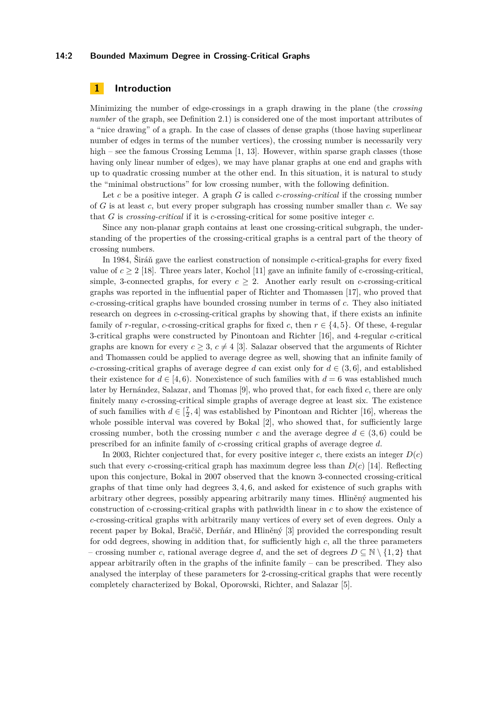#### **14:2 Bounded Maximum Degree in Crossing-Critical Graphs**

# **1 Introduction**

Minimizing the number of edge-crossings in a graph drawing in the plane (the *crossing number* of the graph, see Definition [2.1\)](#page-3-0) is considered one of the most important attributes of a "nice drawing" of a graph. In the case of classes of dense graphs (those having superlinear number of edges in terms of the number vertices), the crossing number is necessarily very high – see the famous Crossing Lemma [\[1,](#page-13-0) [13\]](#page-13-1). However, within sparse graph classes (those having only linear number of edges), we may have planar graphs at one end and graphs with up to quadratic crossing number at the other end. In this situation, it is natural to study the "minimal obstructions" for low crossing number, with the following definition.

Let *c* be a positive integer. A graph *G* is called *c-crossing-critical* if the crossing number of *G* is at least *c*, but every proper subgraph has crossing number smaller than *c*. We say that *G* is *crossing-critical* if it is *c*-crossing-critical for some positive integer *c*.

Since any non-planar graph contains at least one crossing-critical subgraph, the understanding of the properties of the crossing-critical graphs is a central part of the theory of crossing numbers.

In 1984, Širáň gave the earliest construction of nonsimple *c*-critical-graphs for every fixed value of  $c \geq 2$  [\[18\]](#page-14-1). Three years later, Kochol [\[11\]](#page-13-2) gave an infinite family of c-crossing-critical, simple, 3-connected graphs, for every  $c \geq 2$ . Another early result on *c*-crossing-critical graphs was reported in the influential paper of Richter and Thomassen [\[17\]](#page-14-2), who proved that *c*-crossing-critical graphs have bounded crossing number in terms of *c*. They also initiated research on degrees in *c*-crossing-critical graphs by showing that, if there exists an infinite family of *r*-regular, *c*-crossing-critical graphs for fixed *c*, then  $r \in \{4, 5\}$ . Of these, 4-regular 3-critical graphs were constructed by Pinontoan and Richter [\[16\]](#page-14-3), and 4-regular *c*-critical graphs are known for every  $c \geq 3$ ,  $c \neq 4$  [\[3\]](#page-13-3). Salazar observed that the arguments of Richter and Thomassen could be applied to average degree as well, showing that an infinite family of *c*-crossing-critical graphs of average degree *d* can exist only for  $d \in (3, 6]$ , and established their existence for  $d \in [4, 6)$ . Nonexistence of such families with  $d = 6$  was established much later by Hernández, Salazar, and Thomas [\[9\]](#page-13-4), who proved that, for each fixed *c*, there are only finitely many *c*-crossing-critical simple graphs of average degree at least six. The existence of such families with  $d \in [\frac{7}{2}, 4]$  was established by Pinontoan and Richter [\[16\]](#page-14-3), whereas the whole possible interval was covered by Bokal [\[2\]](#page-13-5), who showed that, for sufficiently large crossing number, both the crossing number *c* and the average degree  $d \in (3,6)$  could be prescribed for an infinite family of *c*-crossing critical graphs of average degree *d*.

In 2003, Richter conjectured that, for every positive integer *c*, there exists an integer  $D(c)$ such that every *c*-crossing-critical graph has maximum degree less than  $D(c)$  [\[14\]](#page-13-6). Reflecting upon this conjecture, Bokal in 2007 observed that the known 3-connected crossing-critical graphs of that time only had degrees 3*,* 4*,* 6, and asked for existence of such graphs with arbitrary other degrees, possibly appearing arbitrarily many times. Hliněný augmented his construction of *c*-crossing-critical graphs with pathwidth linear in *c* to show the existence of *c*-crossing-critical graphs with arbitrarily many vertices of every set of even degrees. Only a recent paper by Bokal, Bračič, Derňár, and Hliněný [\[3\]](#page-13-3) provided the corresponding result for odd degrees, showing in addition that, for sufficiently high *c*, all the three parameters – crossing number *c*, rational average degree *d*, and the set of degrees  $D \subseteq \mathbb{N} \setminus \{1,2\}$  that appear arbitrarily often in the graphs of the infinite family – can be prescribed. They also analysed the interplay of these parameters for 2-crossing-critical graphs that were recently completely characterized by Bokal, Oporowski, Richter, and Salazar [\[5\]](#page-13-7).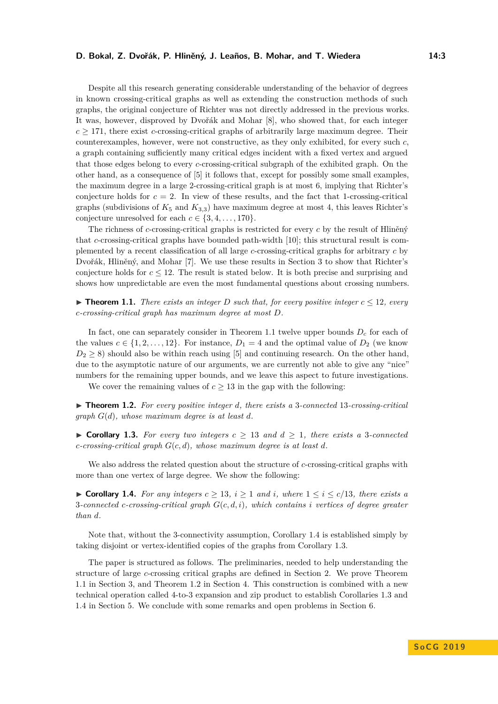#### **D. Bokal, Z. Dvořák, P. Hliněný, J. Leaños, B. Mohar, and T. Wiedera 14:3**

Despite all this research generating considerable understanding of the behavior of degrees in known crossing-critical graphs as well as extending the construction methods of such graphs, the original conjecture of Richter was not directly addressed in the previous works. It was, however, disproved by Dvořák and Mohar [\[8\]](#page-13-8), who showed that, for each integer  $c \geq 171$ , there exist *c*-crossing-critical graphs of arbitrarily large maximum degree. Their counterexamples, however, were not constructive, as they only exhibited, for every such *c*, a graph containing sufficiently many critical edges incident with a fixed vertex and argued that those edges belong to every *c*-crossing-critical subgraph of the exhibited graph. On the other hand, as a consequence of [\[5\]](#page-13-7) it follows that, except for possibly some small examples, the maximum degree in a large 2-crossing-critical graph is at most 6, implying that Richter's conjecture holds for  $c = 2$ . In view of these results, and the fact that 1-crossing-critical graphs (subdivisions of  $K_5$  and  $K_{3,3}$ ) have maximum degree at most 4, this leaves Richter's conjecture unresolved for each  $c \in \{3, 4, \ldots, 170\}$ .

The richness of *c*-crossing-critical graphs is restricted for every *c* by the result of Hliněný that *c*-crossing-critical graphs have bounded path-width [\[10\]](#page-13-9); this structural result is complemented by a recent classification of all large *c*-crossing-critical graphs for arbitrary *c* by Dvořák, Hliněný, and Mohar [\[7\]](#page-13-10). We use these results in Section [3](#page-4-0) to show that Richter's conjecture holds for  $c \leq 12$ . The result is stated below. It is both precise and surprising and shows how unpredictable are even the most fundamental questions about crossing numbers.

<span id="page-2-0"></span>▶ **Theorem 1.1.** *There exists an integer D such that, for every positive integer*  $c \leq 12$ *, every c-crossing-critical graph has maximum degree at most D.*

In fact, one can separately consider in Theorem [1.1](#page-2-0) twelve upper bounds *D<sup>c</sup>* for each of the values  $c \in \{1, 2, ..., 12\}$ . For instance,  $D_1 = 4$  and the optimal value of  $D_2$  (we know  $D_2 \geq 8$ ) should also be within reach using [\[5\]](#page-13-7) and continuing research. On the other hand, due to the asymptotic nature of our arguments, we are currently not able to give any "nice" numbers for the remaining upper bounds, and we leave this aspect to future investigations.

We cover the remaining values of  $c \geq 13$  in the gap with the following:

<span id="page-2-3"></span>I **Theorem 1.2.** *For every positive integer d, there exists a* 3*-connected* 13*-crossing-critical graph G*(*d*)*, whose maximum degree is at least d.*

<span id="page-2-2"></span>▶ **Corollary 1.3.** For every two integers  $c \ge 13$  and  $d \ge 1$ , there exists a 3-connected *c-crossing-critical graph G*(*c, d*)*, whose maximum degree is at least d.*

We also address the related question about the structure of *c*-crossing-critical graphs with more than one vertex of large degree. We show the following:

<span id="page-2-1"></span>▶ **Corollary 1.4.** *For any integers*  $c \geq 13$ *,*  $i \geq 1$  *and*  $i$ *, where*  $1 \leq i \leq c/13$ *, there exists a* 3*-connected c-crossing-critical graph G*(*c, d, i*)*, which contains i vertices of degree greater than d.*

Note that, without the 3-connectivity assumption, Corollary [1.4](#page-2-1) is established simply by taking disjoint or vertex-identified copies of the graphs from Corollary [1.3.](#page-2-2)

The paper is structured as follows. The preliminaries, needed to help understanding the structure of large *c*-crossing critical graphs are defined in Section [2.](#page-3-1) We prove Theorem [1.1](#page-2-0) in Section [3,](#page-4-0) and Theorem [1.2](#page-2-3) in Section [4.](#page-7-0) This construction is combined with a new technical operation called 4-to-3 expansion and zip product to establish Corollaries [1.3](#page-2-2) and [1.4](#page-2-1) in Section [5.](#page-11-0) We conclude with some remarks and open problems in Section [6.](#page-12-0)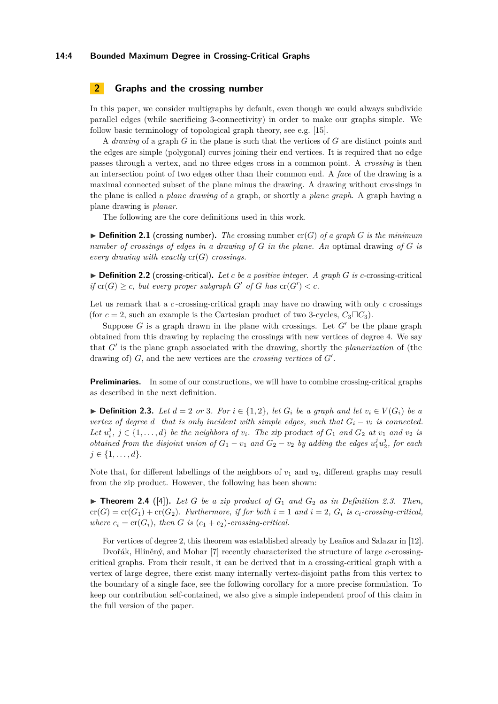#### **14:4 Bounded Maximum Degree in Crossing-Critical Graphs**

# <span id="page-3-1"></span>**2 Graphs and the crossing number**

In this paper, we consider multigraphs by default, even though we could always subdivide parallel edges (while sacrificing 3-connectivity) in order to make our graphs simple. We follow basic terminology of topological graph theory, see e.g. [\[15\]](#page-14-4).

A *drawing* of a graph *G* in the plane is such that the vertices of *G* are distinct points and the edges are simple (polygonal) curves joining their end vertices. It is required that no edge passes through a vertex, and no three edges cross in a common point. A *crossing* is then an intersection point of two edges other than their common end. A *face* of the drawing is a maximal connected subset of the plane minus the drawing. A drawing without crossings in the plane is called a *plane drawing* of a graph, or shortly a *plane graph*. A graph having a plane drawing is *planar*.

The following are the core definitions used in this work.

<span id="page-3-0"></span> $\blacktriangleright$  **Definition 2.1** (crossing number). The crossing number cr(*G*) of a graph *G* is the minimum *number of crossings of edges in a drawing of G in the plane. An* optimal drawing *of G is every drawing with exactly*  $cr(G)$  *crossings.* 

 $\triangleright$  **Definition 2.2** (crossing-critical). Let c be a positive integer. A graph G is c-crossing-critical *if*  $\text{cr}(G) \geq c$ , but every proper subgraph  $G'$  of  $G$  has  $\text{cr}(G') < c$ .

Let us remark that a *c*-crossing-critical graph may have no drawing with only *c* crossings (for  $c = 2$ , such an example is the Cartesian product of two 3-cycles,  $C_3 \Box C_3$ ).

Suppose *G* is a graph drawn in the plane with crossings. Let  $G'$  be the plane graph obtained from this drawing by replacing the crossings with new vertices of degree 4. We say that *G'* is the plane graph associated with the drawing, shortly the *planarization* of (the drawing of)  $G$ , and the new vertices are the *crossing vertices* of  $G'$ .

**Preliminaries.** In some of our constructions, we will have to combine crossing-critical graphs as described in the next definition.

<span id="page-3-2"></span>▶ **Definition 2.3.** *Let*  $d = 2$  *or* 3*. For*  $i \in \{1, 2\}$ *, let*  $G_i$  *be a graph and let*  $v_i \in V(G_i)$  *be a vertex of degree d that is only incident with simple edges, such that*  $G_i - v_i$  *is connected.* Let  $u_i^j$ ,  $j \in \{1, ..., d\}$  be the neighbors of  $v_i$ . The zip product of  $G_1$  and  $G_2$  at  $v_1$  and  $v_2$  is *obtained from the disjoint union of*  $G_1 - v_1$  *and*  $G_2 - v_2$  *by adding the edges*  $u_1^j u_2^j$ , *for each*  $j \in \{1, \ldots, d\}$ *.* 

Note that, for different labellings of the neighbors of  $v_1$  and  $v_2$ , different graphs may result from the zip product. However, the following has been shown:

<span id="page-3-3"></span> $\triangleright$  **Theorem 2.4** ([\[4\]](#page-13-11)). Let G be a zip product of  $G_1$  and  $G_2$  as in Definition [2.3.](#page-3-2) Then,  $cr(G) = cr(G_1) + cr(G_2)$ *. Furthermore, if for both*  $i = 1$  *and*  $i = 2$ *,*  $G_i$  *is*  $c_i$ *-crossing-critical, where*  $c_i = cr(G_i)$ *, then G is*  $(c_1 + c_2)$ *-crossing-critical.* 

For vertices of degree 2, this theorem was established already by Leaños and Salazar in [\[12\]](#page-13-12).

Dvořák, Hliněný, and Mohar [\[7\]](#page-13-10) recently characterized the structure of large *c*-crossingcritical graphs. From their result, it can be derived that in a crossing-critical graph with a vertex of large degree, there exist many internally vertex-disjoint paths from this vertex to the boundary of a single face, see the following corollary for a more precise formulation. To keep our contribution self-contained, we also give a simple independent proof of this claim in the full version of the paper.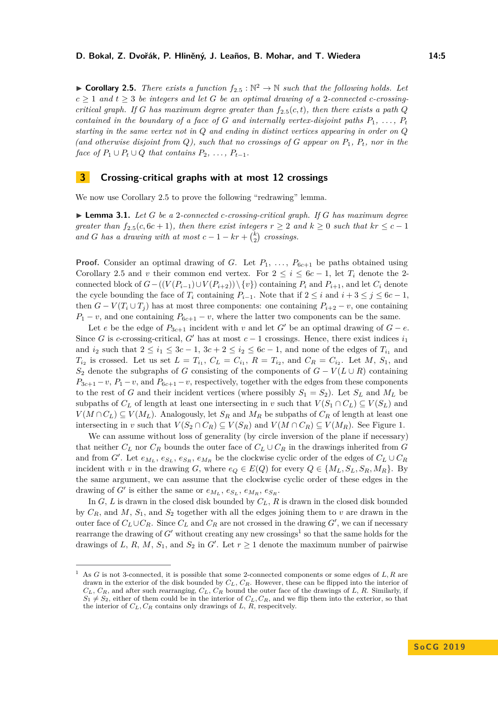<span id="page-4-1"></span>▶ **Corollary [2](#page-4-1).5.** *There exists a function*  $f_{2.5}$  :  $\mathbb{N}^2 \to \mathbb{N}$  *such that the following holds. Let*  $c \geq 1$  and  $t \geq 3$  *be integers and let G be an optimal drawing of a* 2*-connected c-crossingcritical graph. If G has maximum degree greater than*  $f_{2,5}(c,t)$  $f_{2,5}(c,t)$  $f_{2,5}(c,t)$ *, then there exists a path Q contained in the boundary of a face of*  $G$  *and internally vertex-disjoint paths*  $P_1, \ldots, P_t$ *starting in the same vertex not in Q and ending in distinct vertices appearing in order on Q (and otherwise disjoint from Q), such that no crossings of G appear on P*1*, Pt, nor in the face of*  $P_1 \cup P_t \cup Q$  *that contains*  $P_2, \ldots, P_{t-1}$ *.* 

## <span id="page-4-0"></span>**3 Crossing-critical graphs with at most 12 crossings**

We now use Corollary [2.5](#page-4-1) to prove the following "redrawing" lemma.

<span id="page-4-3"></span>▶ **Lemma 3.1.** *Let G be a* 2*-connected c-crossing-critical graph. If <i>G has maximum degree greater than*  $f_{2.5}(c, 6c + 1)$  $f_{2.5}(c, 6c + 1)$  $f_{2.5}(c, 6c + 1)$ *, then there exist integers*  $r \geq 2$  *and*  $k \geq 0$  *such that*  $kr \leq c - 1$ *and G has a drawing with at most*  $c - 1 - kr + {k \choose 2}$  *crossings.* 

**Proof.** Consider an optimal drawing of *G*. Let  $P_1, \ldots, P_{6c+1}$  be paths obtained using Corollary [2.5](#page-4-1) and *v* their common end vertex. For  $2 \leq i \leq 6c - 1$ , let  $T_i$  denote the 2connected block of  $G-(V(P_{i-1})\cup V(P_{i+2}))\setminus\{v\})$  containing  $P_i$  and  $P_{i+1}$ , and let  $C_i$  denote the cycle bounding the face of  $T_i$  containing  $P_{i-1}$ . Note that if  $2 \leq i$  and  $i + 3 \leq j \leq 6c - 1$ , then  $G - V(T_i \cup T_j)$  has at most three components: one containing  $P_{i+2} - v$ , one containing  $P_1 - v$ , and one containing  $P_{6c+1} - v$ , where the latter two components can be the same.

Let *e* be the edge of  $P_{3c+1}$  incident with *v* and let *G*<sup>*'*</sup> be an optimal drawing of *G* − *e*. Since *G* is *c*-crossing-critical, *G*<sup> $\prime$ </sup> has at most *c* − 1 crossings. Hence, there exist indices  $i_1$ and  $i_2$  such that  $2 \leq i_1 \leq 3c - 1$ ,  $3c + 2 \leq i_2 \leq 6c - 1$ , and none of the edges of  $T_{i_1}$  and *T*<sub>*i*</sub><sup>2</sup> is crossed. Let us set  $L = T_{i_1}$ ,  $C_L = C_{i_1}$ ,  $R = T_{i_2}$ , and  $C_R = C_{i_2}$ . Let *M*, *S*<sub>1</sub>, and *S*<sub>2</sub> denote the subgraphs of *G* consisting of the components of  $G − V(L ∪ R)$  containing  $P_{3c+1} - v$ ,  $P_1 - v$ , and  $P_{6c+1} - v$ , respectively, together with the edges from these components to the rest of *G* and their incident vertices (where possibly  $S_1 = S_2$ ). Let  $S_L$  and  $M_L$  be subpaths of  $C_L$  of length at least one intersecting in *v* such that  $V(S_1 \cap C_L) \subseteq V(S_L)$  and *V*(*M* ∩ *C*<sub>*L*</sub>) ⊆ *V*(*M*<sub>*L*</sub>). Analogously, let *S<sub>R</sub>* and *M<sub>R</sub>* be subpaths of *C<sub>R</sub>* of length at least one intersecting in *v* such that  $V(S_2 \cap C_R) \subseteq V(S_R)$  and  $V(M \cap C_R) \subseteq V(M_R)$ . See Figure [1.](#page-5-0)

We can assume without loss of generality (by circle inversion of the plane if necessary) that neither  $C_L$  nor  $C_R$  bounds the outer face of  $C_L \cup C_R$  in the drawings inherited from *G* and from *G'*. Let  $e_{M_L}, e_{S_L}, e_{S_R}, e_{M_R}$  be the clockwise cyclic order of the edges of  $C_L \cup C_R$ incident with *v* in the drawing *G*, where  $e_Q \in E(Q)$  for every  $Q \in \{M_L, S_L, S_R, M_R\}$ . By the same argument, we can assume that the clockwise cyclic order of these edges in the drawing of *G*<sup> $\prime$ </sup> is either the same or  $e_{M_L}, e_{S_L}, e_{M_R}, e_{S_R}$ .

In *G*, *L* is drawn in the closed disk bounded by *CL*, *R* is drawn in the closed disk bounded by  $C_R$ , and  $M$ ,  $S_1$ , and  $S_2$  together with all the edges joining them to  $v$  are drawn in the outer face of  $C_L \cup C_R$ . Since  $C_L$  and  $C_R$  are not crossed in the drawing  $G'$ , we can if necessary rearrange the drawing of  $G'$  without creating any new crossings<sup>[1](#page-4-2)</sup> so that the same holds for the drawings of *L*, *R*, *M*, *S*<sub>1</sub>, and *S*<sub>2</sub> in *G*<sup> $\prime$ </sup>. Let  $r \geq 1$  denote the maximum number of pairwise

<span id="page-4-2"></span><sup>1</sup> As *G* is not 3-connected, it is possible that some 2-connected components or some edges of *L, R* are drawn in the exterior of the disk bounded by *CL*, *CR*. However, these can be flipped into the interior of  $C_L$ ,  $C_R$ , and after such rearranging,  $C_L$ ,  $C_R$  bound the outer face of the drawings of *L*, *R*. Similarly, if  $S_1 \neq S_2$ , either of them could be in the interior of  $C_L$ ,  $C_R$ , and we flip them into the exterior, so that the interior of  $C_L$ ,  $C_R$  contains only drawings of  $L$ ,  $R$ , respecitvely.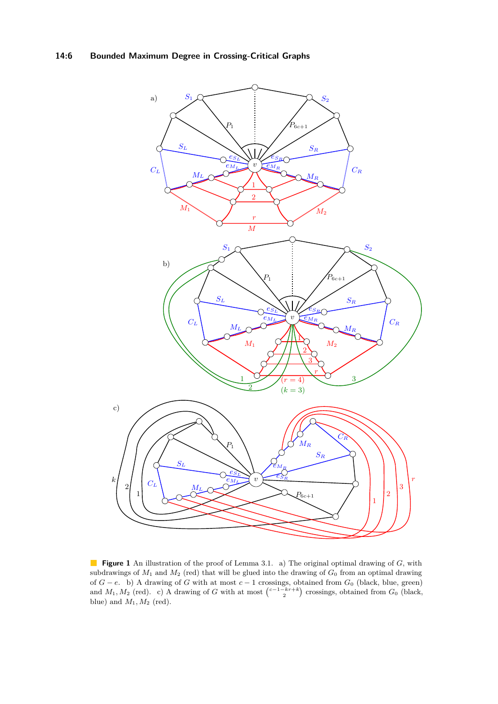# **14:6 Bounded Maximum Degree in Crossing-Critical Graphs**

<span id="page-5-0"></span>

**Figure 1** An illustration of the proof of Lemma [3.1.](#page-4-3) a) The original optimal drawing of *G*, with subdrawings of *M*<sup>1</sup> and *M*<sup>2</sup> (red) that will be glued into the drawing of *G*<sup>0</sup> from an optimal drawing of *G* − *e*. b) A drawing of *G* with at most *c* − 1 crossings, obtained from *G*<sup>0</sup> (black, blue, green) and  $M_1, M_2$  (red). c) A drawing of *G* with at most  $\binom{c-1-kr+k}{2}$  crossings, obtained from  $G_0$  (black, blue) and  $M_1, M_2$  (red).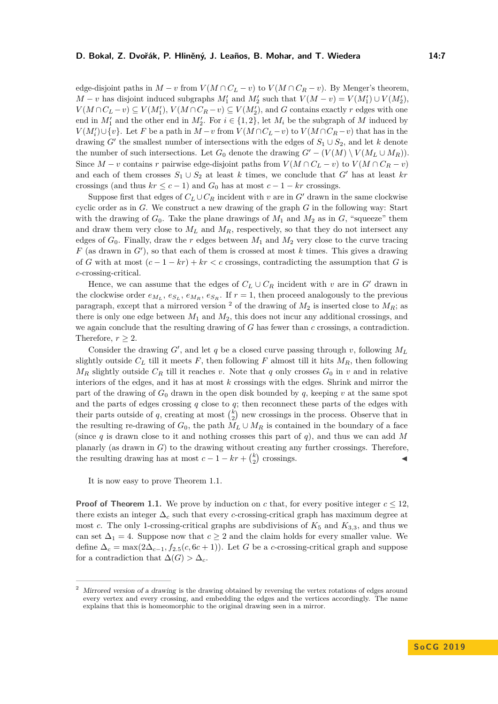edge-disjoint paths in  $M - v$  from  $V(M \cap C_L - v)$  to  $V(M \cap C_R - v)$ . By Menger's theorem, *M* − *v* has disjoint induced subgraphs  $M'_1$  and  $M'_2$  such that  $V(M - v) = V(M'_1) \cup V(M'_2)$ ,  $V(M \cap C_L - v) \subseteq V(M'_1)$ ,  $V(M \cap C_R - v) \subseteq V(M'_2)$ , and *G* contains exactly *r* edges with one end in  $M'_1$  and the other end in  $M'_2$ . For  $i \in \{1,2\}$ , let  $M_i$  be the subgraph of  $M$  induced by *V*( $M'_{i}$ )∪{*v*}. Let *F* be a path in  $M - v$  from  $V(M \cap C_{L} - v)$  to  $V(M \cap C_{R} - v)$  that has in the drawing *G*<sup> $\prime$ </sup> the smallest number of intersections with the edges of  $S_1 \cup S_2$ , and let *k* denote the number of such intersections. Let  $G_0$  denote the drawing  $G' - (V(M) \setminus V(M_L \cup M_R))$ . Since  $M - v$  contains  $r$  pairwise edge-disjoint paths from  $V(M \cap C_L - v)$  to  $V(M \cap C_R - v)$ and each of them crosses  $S_1 \cup S_2$  at least *k* times, we conclude that *G*<sup> $\prime$ </sup> has at least *kr* crossings (and thus  $kr \leq c - 1$ ) and  $G_0$  has at most  $c - 1 - kr$  crossings.

Suppose first that edges of  $C_L \cup C_R$  incident with *v* are in *G*<sup> $\prime$ </sup> drawn in the same clockwise cyclic order as in *G*. We construct a new drawing of the graph *G* in the following way: Start with the drawing of  $G_0$ . Take the plane drawings of  $M_1$  and  $M_2$  as in  $G$ , "squeeze" them and draw them very close to  $M_L$  and  $M_R$ , respectively, so that they do not intersect any edges of  $G_0$ . Finally, draw the *r* edges between  $M_1$  and  $M_2$  very close to the curve tracing  $F$  (as drawn in  $G'$ ), so that each of them is crossed at most  $k$  times. This gives a drawing of *G* with at most  $(c-1 - kr) + kr < c$  crossings, contradicting the assumption that *G* is *c*-crossing-critical.

Hence, we can assume that the edges of  $C_L \cup C_R$  incident with  $v$  are in  $G'$  drawn in the clockwise order  $e_{M_L}, e_{S_L}, e_{M_R}, e_{S_R}$ . If  $r = 1$ , then proceed analogously to the previous paragraph, except that a mirrored version <sup>[2](#page-6-0)</sup> of the drawing of  $M_2$  is inserted close to  $M_R$ ; as there is only one edge between *M*<sup>1</sup> and *M*2, this does not incur any additional crossings, and we again conclude that the resulting drawing of *G* has fewer than *c* crossings, a contradiction. Therefore,  $r \geq 2$ .

Consider the drawing  $G'$ , and let  $q$  be a closed curve passing through  $v$ , following  $M_L$ slightly outside  $C_L$  till it meets  $F$ , then following  $F$  almost till it hits  $M_R$ , then following  $M_R$  slightly outside  $C_R$  till it reaches *v*. Note that *q* only crosses  $G_0$  in *v* and in relative interiors of the edges, and it has at most *k* crossings with the edges. Shrink and mirror the part of the drawing of  $G_0$  drawn in the open disk bounded by  $q$ , keeping  $v$  at the same spot and the parts of edges crossing *q* close to *q*; then reconnect these parts of the edges with their parts outside of q, creating at most  $\binom{k}{2}$  new crossings in the process. Observe that in the resulting re-drawing of  $G_0$ , the path  $M_L \cup M_R$  is contained in the boundary of a face (since *q* is drawn close to it and nothing crosses this part of *q*), and thus we can add *M* planarly (as drawn in *G*) to the drawing without creating any further crossings. Therefore, the resulting drawing has at most  $c - 1 - kr + {k \choose 2}$  crossings.

It is now easy to prove Theorem [1.1.](#page-2-0)

**Proof of Theorem [1.1.](#page-2-0)** We prove by induction on *c* that, for every positive integer  $c \leq 12$ , there exists an integer  $\Delta_c$  such that every *c*-crossing-critical graph has maximum degree at most *c*. The only 1-crossing-critical graphs are subdivisions of  $K_5$  and  $K_{3,3}$ , and thus we can set  $\Delta_1 = 4$ . Suppose now that  $c \geq 2$  and the claim holds for every smaller value. We define  $\Delta_c = \max(2\Delta_{c-1}, f_{2.5}(c, 6c+1))$  $\Delta_c = \max(2\Delta_{c-1}, f_{2.5}(c, 6c+1))$  $\Delta_c = \max(2\Delta_{c-1}, f_{2.5}(c, 6c+1))$ . Let *G* be a *c*-crossing-critical graph and suppose for a contradiction that  $\Delta(G) > \Delta_c$ .

<span id="page-6-0"></span> $2$  Mirrored version of a drawing is the drawing obtained by reversing the vertex rotations of edges around every vertex and every crossing, and embedding the edges and the vertices accordingly. The name explains that this is homeomorphic to the original drawing seen in a mirror.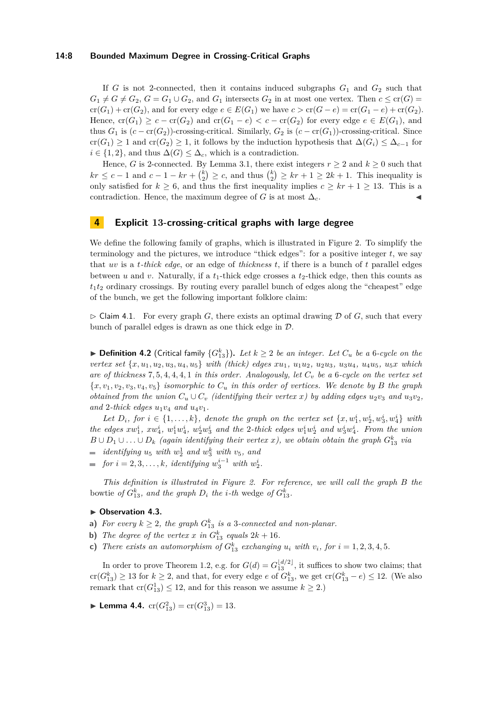### **14:8 Bounded Maximum Degree in Crossing-Critical Graphs**

If  $G$  is not 2-connected, then it contains induced subgraphs  $G_1$  and  $G_2$  such that  $G_1 \neq G \neq G_2$ ,  $G = G_1 \cup G_2$ , and  $G_1$  intersects  $G_2$  in at most one vertex. Then  $c \leq cr(G)$  $cr(G_1) + cr(G_2)$ , and for every edge  $e \in E(G_1)$  we have  $c > cr(G - e) = cr(G_1 - e) + cr(G_2)$ . Hence,  $cr(G_1) \geq c - cr(G_2)$  and  $cr(G_1 - e) < c - cr(G_2)$  for every edge  $e \in E(G_1)$ , and thus  $G_1$  is  $(c - cr(G_2))$ -crossing-critical. Similarly,  $G_2$  is  $(c - cr(G_1))$ -crossing-critical. Since  $cr(G_1) \geq 1$  and  $cr(G_2) \geq 1$ , it follows by the induction hypothesis that  $\Delta(G_i) \leq \Delta_{c-1}$  for  $i \in \{1, 2\}$ , and thus  $\Delta(G) \leq \Delta_c$ , which is a contradiction.

Hence, *G* is 2-connected. By Lemma [3.1,](#page-4-3) there exist integers  $r \geq 2$  and  $k \geq 0$  such that  $kr \leq c - 1$  and  $c - 1 - kr + {k \choose 2} \geq c$ , and thus  ${k \choose 2} \geq kr + 1 \geq 2k + 1$ . This inequality is only satisfied for  $k \geq 6$ , and thus the first inequality implies  $c \geq kr + 1 \geq 13$ . This is a contradiction. Hence, the maximum degree of *G* is at most  $\Delta_c$ .

## <span id="page-7-0"></span>**4 Explicit 13-crossing-critical graphs with large degree**

We define the following family of graphs, which is illustrated in Figure [2.](#page-8-0) To simplify the terminology and the pictures, we introduce "thick edges": for a positive integer *t*, we say that *uv* is a *t-thick edge*, or an edge of *thickness t*, if there is a bunch of *t* parallel edges between *u* and *v*. Naturally, if a  $t_1$ -thick edge crosses a  $t_2$ -thick edge, then this counts as  $t_1 t_2$  ordinary crossings. By routing every parallel bunch of edges along the "cheapest" edge of the bunch, we get the following important folklore claim:

<span id="page-7-3"></span> $\triangleright$  Claim 4.1. For every graph *G*, there exists an optimal drawing D of *G*, such that every bunch of parallel edges is drawn as one thick edge in D.

<span id="page-7-1"></span>▶ **Definition 4.2** (Critical family  ${G}_{13}^k$ ). Let  $k ≥ 2$  *be an integer. Let*  $C_u$  *be a* 6*-cycle on the* vertex set  $\{x, u_1, u_2, u_3, u_4, u_5\}$  with (thick) edges  $xu_1, u_1u_2, u_2u_3, u_3u_4, u_4u_5, u_5x$  which *are of thickness* 7*,* 5*,* 4*,* 4*,* 4*,* 1 *in this order. Analogously, let C<sup>v</sup> be a* 6*-cycle on the vertex set*  ${x, v_1, v_2, v_3, v_4, v_5}$  *isomorphic to*  $C_u$  *in this order of vertices. We denote by B the graph obtained from the union*  $C_u \cup C_v$  *(identifying their vertex x) by adding edges*  $u_2v_3$  *and*  $u_3v_2$ *,* and 2-thick edges  $u_1v_4$  and  $u_4v_1$ .

*Let*  $D_i$ *, for*  $i \in \{1, ..., k\}$ *, denote the graph on the vertex set*  $\{x, w_1^i, w_2^i, w_3^i, w_4^i\}$  *with* the edges  $xw_1^i$ ,  $xw_4^i$ ,  $w_1^iw_4^i$ ,  $w_2^iw_3^i$  and the 2-thick edges  $w_1^iw_2^i$  and  $w_3^iw_4^i$ . From the union *B*∪ $D_1$ ∪...∪ $D_k$  *(again identifying their vertex x), we obtain obtain the graph*  $G_{13}^k$  *via* 

- $identitying u<sub>5</sub> with w<sub>2</sub><sup>1</sup> and w<sub>3</sub><sup>k</sup> with v<sub>5</sub>, and$
- *for*  $i = 2, 3, \ldots, k$ *, identifying*  $w_3^{i-1}$  *with*  $w_2^i$ *.*

*This definition is illustrated in Figure [2.](#page-8-0) For reference, we will call the graph B the* bowtie *of*  $G_{13}^k$ *, and the graph*  $D_i$  *the i*-th wedge *of*  $G_{13}^k$ *.* 

### <span id="page-7-4"></span>▶ Observation 4.3.

- **a)** For every  $k \geq 2$ , the graph  $G_{13}^k$  is a 3*-connected and non-planar.*
- **b)** *The degree of the vertex x in*  $G_{13}^k$  *equals*  $2k + 16$ *.*
- **c)** There exists an automorphism of  $G_{13}^k$  exchanging  $u_i$  with  $v_i$ , for  $i = 1, 2, 3, 4, 5$ .

In order to prove Theorem [1.2,](#page-2-3) e.g. for  $G(d) = G_{13}^{\lfloor d/2 \rfloor}$ , it suffices to show two claims; that  $\text{cr}(G_{13}^k) \geq 13$  for  $k \geq 2$ , and that, for every edge *e* of  $G_{13}^k$ , we get  $\text{cr}(G_{13}^k - e) \leq 12$ . (We also remark that  $cr(G_{13}^1) \leq 12$ , and for this reason we assume  $k \geq 2$ .)

<span id="page-7-2"></span> $\blacktriangleright$  **Lemma 4.4.**  $\mathrm{cr}(G_{13}^2) = \mathrm{cr}(G_{13}^3) = 13.$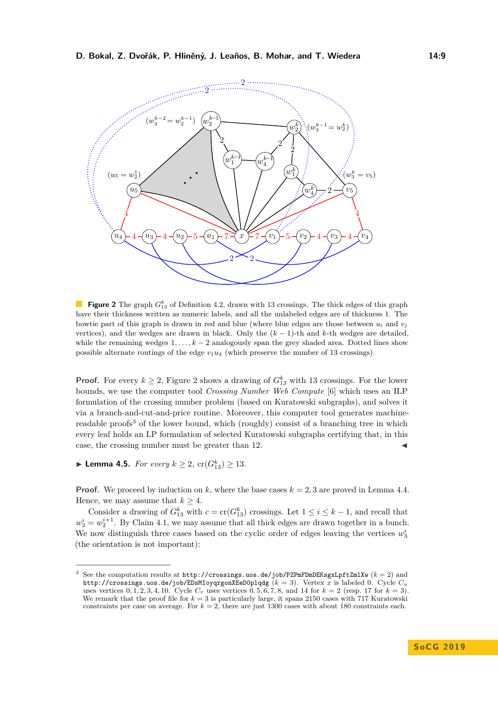<span id="page-8-0"></span>

**Figure 2** The graph  $G_{13}^k$  of Definition [4.2,](#page-7-1) drawn with 13 crossings. The thick edges of this graph have their thickness written as numeric labels, and all the unlabeled edges are of thickness 1. The bowtie part of this graph is drawn in red and blue (where blue edges are those between  $u_i$  and  $v_j$ vertices), and the wedges are drawn in black. Only the (*k* − 1)-th and *k*-th wedges are detailed, while the remaining wedges 1*, . . . , k* − 2 analogously span the grey shaded area. Dotted lines show possible alternate routings of the edge  $v_1u_4$  (which preserve the number of 13 crossings).

**Proof.** For every  $k \geq 2$  $k \geq 2$ , Figure 2 shows a drawing of  $G_{13}^k$  with 13 crossings. For the lower bounds, we use the computer tool *Crossing Number Web Compute* [\[6\]](#page-13-13) which uses an ILP formulation of the crossing number problem (based on Kuratowski subgraphs), and solves it via a branch-and-cut-and-price routine. Moreover, this computer tool generates machine-readable proofs<sup>[3](#page-8-1)</sup> of the lower bound, which (roughly) consist of a branching tree in which every leaf holds an LP formulation of selected Kuratowski subgraphs certifying that, in this case, the crossing number must be greater than 12.

<span id="page-8-2"></span>▶ **Lemma 4.5.** *For every*  $k \ge 2$ ,  $\text{cr}(G_{13}^k) \ge 13$ *.* 

**Proof.** We proceed by induction on k, where the base cases  $k = 2, 3$  are proved in Lemma [4.4.](#page-7-2) Hence, we may assume that  $k \geq 4$ .

Consider a drawing of  $G_{13}^k$  with  $c = \text{cr}(G_{13}^k)$  crossings. Let  $1 \leq i \leq k - 1$ , and recall that  $w_3^i = w_2^{i+1}$ . By Claim [4.1,](#page-7-3) we may assume that all thick edges are drawn together in a bunch. We now distinguish three cases based on the cyclic order of edges leaving the vertices  $w_3^i$ (the orientation is not important):

<span id="page-8-1"></span><sup>&</sup>lt;sup>3</sup> See the computation results at <http://crossings.uos.de/job/PZPmFDmDEKsgxLpftZmlXw>  $(k = 2)$  and <http://crossings.uos.de/job/EDsMIoyqrgonXEeD0plqdg> (*k* = 3). Vertex *x* is labeled 0. Cycle *C<sup>u</sup>* uses vertices  $0, 1, 2, 3, 4, 10$ . Cycle  $C_v$  uses vertices  $0, 5, 6, 7, 8$ , and 14 for  $k = 2$  (resp. 17 for  $k = 3$ ). We remark that the proof file for  $k = 3$  is particularly large, it spans 2150 cases with 717 Kuratowski constraints per case on average. For  $k = 2$ , there are just 1300 cases with about 180 constraints each.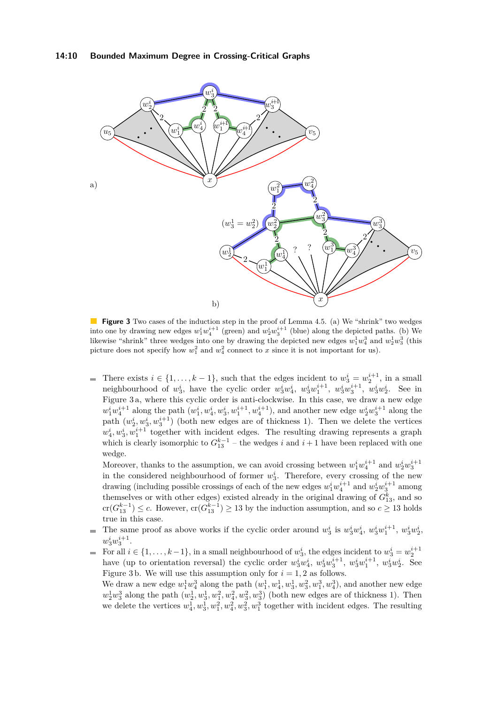<span id="page-9-0"></span>

**Figure 3** Two cases of the induction step in the proof of Lemma [4.5.](#page-8-2) (a) We "shrink" two wedges into one by drawing new edges  $w_1^iw_4^{i+1}$  (green) and  $w_2^iw_3^{i+1}$  (blue) along the depicted paths. (b) We likewise "shrink" three wedges into one by drawing the depicted new edges  $w_1^1 w_4^3$  and  $w_2^1 w_3^3$  (this picture does not specify how  $w_1^2$  and  $w_4^2$  connect to *x* since it is not important for us).

There exists  $i \in \{1, ..., k-1\}$ , such that the edges incident to  $w_3^i = w_2^{i+1}$ , in a small  $\blacksquare$ neighbourhood of  $w_3^i$ , have the cyclic order  $w_3^iw_4^i$ ,  $w_3^iw_1^{i+1}$ ,  $w_3^iw_3^{i+1}$ ,  $w_3^iw_2^i$ . See in Figure [3](#page-9-0) a, where this cyclic order is anti-clockwise. In this case, we draw a new edge  $w_1^i w_4^{i+1}$  along the path  $(w_1^i, w_4^i, w_3^i, w_1^{i+1}, w_4^{i+1})$ , and another new edge  $w_2^i w_3^{i+1}$  along the path  $(w_2^i, w_3^i, w_3^{i+1})$  (both new edges are of thickness 1). Then we delete the vertices  $w_4^i, w_3^i, w_1^{i+1}$  together with incident edges. The resulting drawing represents a graph which is clearly isomorphic to  $G_{13}^{k-1}$  – the wedges *i* and *i* + 1 have been replaced with one wedge.

Moreover, thanks to the assumption, we can avoid crossing between  $w_1^i w_4^{i+1}$  and  $w_2^i w_3^{i+1}$ in the considered neighbourhood of former  $w_3^i$ . Therefore, every crossing of the new drawing (including possible crossings of each of the new edges  $w_1^i w_4^{i+1}$  and  $w_2^i w_3^{i+1}$  among themselves or with other edges) existed already in the original drawing of  $G_{13}^k$ , and so  $cr(G_{13}^{k-1}) \leq c$ . However,  $cr(G_{13}^{k-1}) \geq 13$  by the induction assumption, and so  $c \geq 13$  holds true in this case.

The same proof as above works if the cyclic order around  $w_3^i$  is  $w_3^i w_4^i$ ,  $w_3^i w_1^{i+1}$ ,  $w_3^i w_2^i$ ,  $\overline{\phantom{a}}$  $w_3^i w_3^{i+1}$ .

For all  $i \in \{1, \ldots, k-1\}$ , in a small neighbourhood of  $w_3^i$ , the edges incident to  $w_3^i = w_2^{i+1}$ have (up to orientation reversal) the cyclic order  $w_3^i w_4^i$ ,  $w_3^i w_3^{i+1}$ ,  $w_3^i w_1^{i+1}$ ,  $w_3^i w_2^i$ . See Figure [3](#page-9-0) b. We will use this assumption only for  $i = 1, 2$  as follows.

We draw a new edge  $w_1^1 w_4^3$  along the path  $(w_1^1, w_4^1, w_3^1, w_3^2, w_1^3, w_4^3)$ , and another new edge  $w_2^1 w_3^3$  along the path  $(w_2^1, w_3^1, w_1^2, w_3^2, w_3^3)$  (both new edges are of thickness 1). Then we delete the vertices  $w_1^1, w_2^1, w_3^2, w_4^2, w_3^3, w_1^3$  together with incident edges. The resulting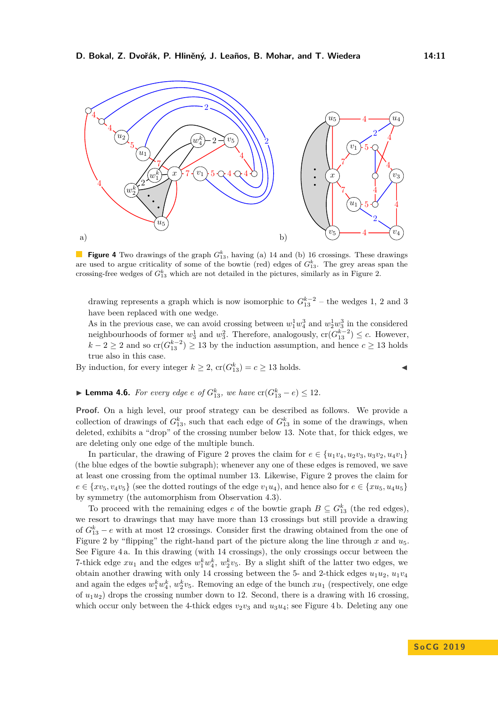<span id="page-10-0"></span>

**Figure 4** Two drawings of the graph  $G_{13}^k$ , having (a) 14 and (b) 16 crossings. These drawings are used to argue criticality of some of the bowtie (red) edges of  $G_{13}^k$ . The grey areas span the crossing-free wedges of  $G_{13}^k$  which are not detailed in the pictures, similarly as in Figure [2.](#page-8-0)

drawing represents a graph which is now isomorphic to  $G_{13}^{k-2}$  – the wedges 1, 2 and 3 have been replaced with one wedge.

As in the previous case, we can avoid crossing between  $w_1^1 w_4^3$  and  $w_2^1 w_3^3$  in the considered neighbourhoods of former  $w_3^1$  and  $w_3^2$ . Therefore, analogously,  $\text{cr}(G_{13}^{k-2}) \leq c$ . However, *k* − 2 ≥ 2 and so  $\text{cr}(G_{13}^{k-2})$  ≥ 13 by the induction assumption, and hence  $c \ge 13$  holds true also in this case.

By induction, for every integer  $k \ge 2$ ,  $\operatorname{cr}(G_{13}^k) = c \ge 13$  holds.

$$
\blacktriangleright
$$
 Lemma 4.6. For every edge e of  $G_{13}^k$ , we have  $\text{cr}(G_{13}^k - e) \leq 12$ .

**Proof.** On a high level, our proof strategy can be described as follows. We provide a collection of drawings of  $G_{13}^k$ , such that each edge of  $G_{13}^k$  in some of the drawings, when deleted, exhibits a "drop" of the crossing number below 13. Note that, for thick edges, we are deleting only one edge of the multiple bunch.

In particular, the drawing of Figure [2](#page-8-0) proves the claim for  $e \in \{u_1v_4, u_2v_3, u_3v_2, u_4v_1\}$ (the blue edges of the bowtie subgraph); whenever any one of these edges is removed, we save at least one crossing from the optimal number 13. Likewise, Figure [2](#page-8-0) proves the claim for  $e \in \{xv_5, v_4v_5\}$  (see the dotted routings of the edge  $v_1u_4$ ), and hence also for  $e \in \{xu_5, u_4u_5\}$ by symmetry (the automorphism from Observation [4.3\)](#page-7-4).

To proceed with the remaining edges *e* of the bowtie graph  $B \subseteq G_{13}^k$  (the red edges), we resort to drawings that may have more than 13 crossings but still provide a drawing of  $G_{13}^k - e$  with at most 12 crossings. Consider first the drawing obtained from the one of Figure [2](#page-8-0) by "flipping" the right-hand part of the picture along the line through *x* and *u*5. See Figure [4](#page-10-0) a. In this drawing (with 14 crossings), the only crossings occur between the 7-thick edge  $xu_1$  and the edges  $w_1^kw_4^k$ ,  $w_2^kv_5$ . By a slight shift of the latter two edges, we obtain another drawing with only 14 crossing between the 5- and 2-thick edges  $u_1u_2$ ,  $u_1v_4$ and again the edges  $w_1^k w_4^k$ ,  $w_2^k v_5$ . Removing an edge of the bunch  $xu_1$  (respectively, one edge of  $u_1u_2$ ) drops the crossing number down to 12. Second, there is a drawing with 16 crossing, which occur only between the [4](#page-10-0)-thick edges  $v_2v_3$  and  $u_3u_4$ ; see Figure 4b. Deleting any one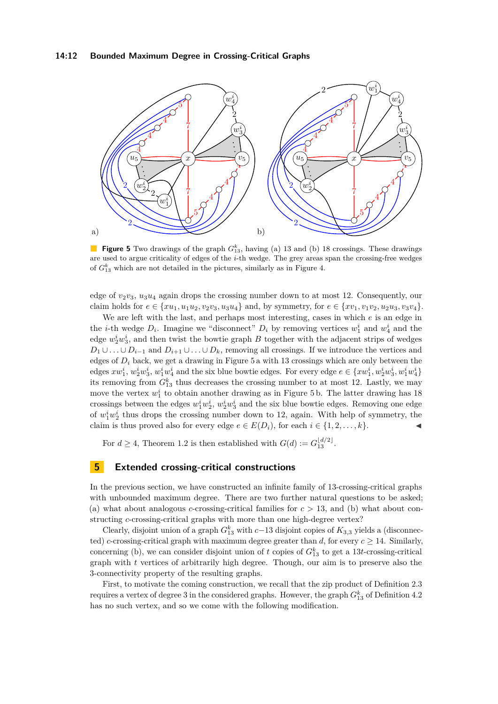<span id="page-11-1"></span>

**Figure 5** Two drawings of the graph  $G_{13}^k$ , having (a) 13 and (b) 18 crossings. These drawings are used to argue criticality of edges of the *i*-th wedge. The grey areas span the crossing-free wedges of  $G_{13}^k$  which are not detailed in the pictures, similarly as in Figure [4.](#page-10-0)

edge of *v*2*v*3, *u*3*u*<sup>4</sup> again drops the crossing number down to at most 12. Consequently, our claim holds for  $e \in \{xu_1, u_1u_2, v_2v_3, u_3u_4\}$  and, by symmetry, for  $e \in \{xv_1, v_1v_2, u_2u_3, v_3v_4\}$ .

We are left with the last, and perhaps most interesting, cases in which *e* is an edge in the *i*-th wedge  $D_i$ . Imagine we "disconnect"  $D_i$  by removing vertices  $w_1^i$  and  $w_4^i$  and the edge  $w_2^i w_3^i$ , and then twist the bowtie graph *B* together with the adjacent strips of wedges *D*<sub>1</sub> ∪ *. .* ∪ *D*<sub>*i*−1</sub> and *D*<sub>*i*+1</sub> ∪ *. .* ∪ *D*<sub>*k*</sub>, removing all crossings. If we introduce the vertices and edges of  $D_i$  back, we get a drawing in Figure [5](#page-11-1) a with 13 crossings which are only between the edges  $xw_1^i, w_2^iw_3^i, w_1^iw_4^i$  and the six blue bowtie edges. For every edge  $e \in \{xw_1^i, w_2^iw_3^i, w_1^iw_4^i\}$ its removing from  $G_{13}^k$  thus decreases the crossing number to at most 12. Lastly, we may move the vertex  $w_1^i$  to obtain another drawing as in Figure [5](#page-11-1) b. The latter drawing has 18 crossings between the edges  $w_1^iw_2^i$ ,  $w_2^iw_3^i$  and the six blue bowtie edges. Removing one edge of  $w_1^i w_2^i$  thus drops the crossing number down to 12, again. With help of symmetry, the claim is thus proved also for every edge  $e \in E(D_i)$ , for each  $i \in \{1, 2, \ldots, k\}$ .

For  $d \geq 4$ , Theorem [1.2](#page-2-3) is then established with  $G(d) := G_{13}^{\lfloor d/2 \rfloor}$ .

## <span id="page-11-0"></span>**5 Extended crossing-critical constructions**

In the previous section, we have constructed an infinite family of 13-crossing-critical graphs with unbounded maximum degree. There are two further natural questions to be asked; (a) what about analogous *c*-crossing-critical families for  $c > 13$ , and (b) what about constructing *c*-crossing-critical graphs with more than one high-degree vertex?

Clearly, disjoint union of a graph  $G_{13}^k$  with  $c-13$  disjoint copies of  $K_{3,3}$  yields a (disconnected) *c*-crossing-critical graph with maximum degree greater than *d*, for every  $c \ge 14$ . Similarly, concerning (b), we can consider disjoint union of  $t$  copies of  $G_{13}^k$  to get a 13 $t$ -crossing-critical graph with *t* vertices of arbitrarily high degree. Though, our aim is to preserve also the 3-connectivity property of the resulting graphs.

First, to motivate the coming construction, we recall that the zip product of Definition [2.3](#page-3-2) requires a vertex of degree 3 in the considered graphs. However, the graph *G<sup>k</sup>* <sup>13</sup> of Definition [4.2](#page-7-1) has no such vertex, and so we come with the following modification.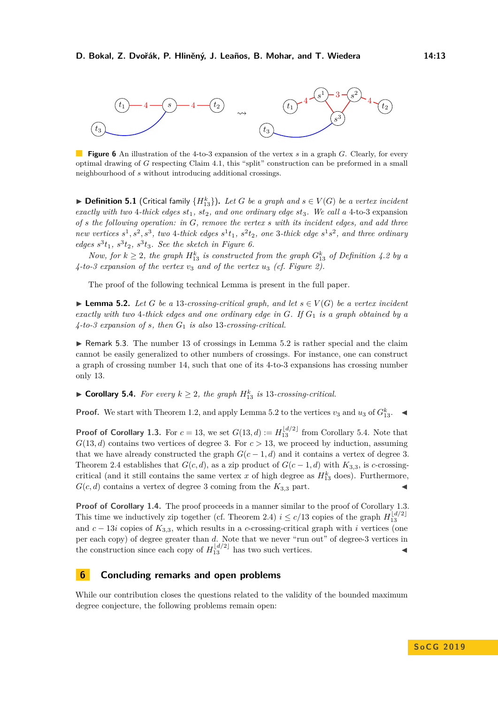<span id="page-12-1"></span>

**Figure 6** An illustration of the 4-to-3 expansion of the vertex *s* in a graph *G*. Clearly, for every optimal drawing of *G* respecting Claim [4.1,](#page-7-3) this "split" construction can be preformed in a small neighbourhood of *s* without introducing additional crossings.

▶ **Definition 5.1** (Critical family  ${H}_{13}^k$ ). Let *G* be a graph and  $s \in V(G)$  be a vertex incident *exactly with two* 4*-thick edges st*1*, st*2*, and one ordinary edge st*3*. We call a* 4-to-3 expansion *of s the following operation: in G, remove the vertex s with its incident edges, and add three* new vertices  $s^1$ ,  $s^2$ ,  $s^3$ , two 4-thick edges  $s^1t_1$ ,  $s^2t_2$ , one 3-thick edge  $s^1s^2$ , and three ordinary *edges*  $s^3t_1$ ,  $s^3t_2$ ,  $s^3t_3$ . See the sketch in Figure [6.](#page-12-1)

*Now, for*  $k \geq 2$ , the graph  $H_{13}^k$  is constructed from the graph  $G_{13}^k$  of Definition [4.2](#page-7-1) by a  $4$ -to-3 expansion of the vertex  $v_3$  and of the vertex  $u_3$  (cf. Figure [2\)](#page-8-0).

The proof of the following technical Lemma is present in the full paper.

<span id="page-12-2"></span>▶ **Lemma 5.2.** *Let G be a* 13*-crossing-critical graph, and let*  $s \in V(G)$  *be a vertex incident exactly with two* 4*-thick edges and one ordinary edge in G. If G*<sup>1</sup> *is a graph obtained by a 4-to-3 expansion of s, then G*<sup>1</sup> *is also* 13*-crossing-critical.*

 $\triangleright$  Remark 5.3. The number 13 of crossings in Lemma [5.2](#page-12-2) is rather special and the claim cannot be easily generalized to other numbers of crossings. For instance, one can construct a graph of crossing number 14, such that one of its 4-to-3 expansions has crossing number only 13.

<span id="page-12-3"></span>▶ **Corollary 5.4.** *For every*  $k ≥ 2$ *, the graph*  $H_{13}^k$  *is* 13*-crossing-critical.* 

**Proof.** We start with Theorem [1.2,](#page-2-3) and apply Lemma [5.2](#page-12-2) to the vertices  $v_3$  and  $u_3$  of  $G_{13}^k$ .

**Proof of Corollary [1.3.](#page-2-2)** For  $c = 13$ , we set  $G(13, d) := H_{13}^{\lfloor d/2 \rfloor}$  from Corollary [5.4.](#page-12-3) Note that  $G(13, d)$  contains two vertices of degree 3. For  $c > 13$ , we proceed by induction, assuming that we have already constructed the graph  $G(c-1, d)$  and it contains a vertex of degree 3. Theorem [2.4](#page-3-3) establishes that  $G(c, d)$ , as a zip product of  $G(c - 1, d)$  with  $K_{3,3}$ , is *c*-crossingcritical (and it still contains the same vertex  $x$  of high degree as  $H_{13}^k$  does). Furthermore,  $G(c, d)$  contains a vertex of degree 3 coming from the  $K_{3,3}$  part.

**Proof of Corollary [1.4.](#page-2-1)** The proof proceeds in a manner similar to the proof of Corollary [1.3.](#page-2-2) This time we inductively zip together (cf. Theorem [2.4\)](#page-3-3)  $i \leq c/13$  copies of the graph  $H_{13}^{\lfloor d/2 \rfloor}$ and *c* − 13*i* copies of *K*3*,*3, which results in a *c*-crossing-critical graph with *i* vertices (one per each copy) of degree greater than *d*. Note that we never "run out" of degree-3 vertices in the construction since each copy of  $H_{13}^{\lfloor d/2 \rfloor}$  has two such vertices.

## <span id="page-12-0"></span>**6 Concluding remarks and open problems**

While our contribution closes the questions related to the validity of the bounded maximum degree conjecture, the following problems remain open: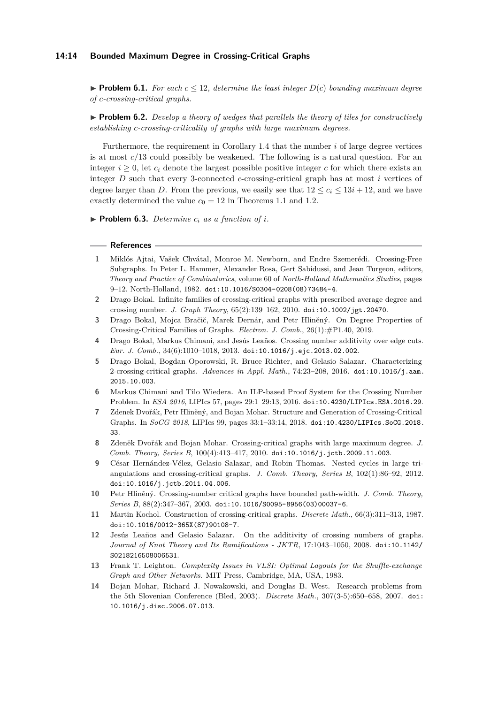#### **14:14 Bounded Maximum Degree in Crossing-Critical Graphs**

**Problem 6.1.** For each  $c \leq 12$ , determine the least integer  $D(c)$  bounding maximum degree *of c-crossing-critical graphs.*

▶ **Problem 6.2.** *Develop a theory of wedges that parallels the theory of tiles for constructively establishing c-crossing-criticality of graphs with large maximum degrees.*

Furthermore, the requirement in Corollary [1.4](#page-2-1) that the number *i* of large degree vertices is at most *c/*13 could possibly be weakened. The following is a natural question. For an integer  $i \geq 0$ , let  $c_i$  denote the largest possible positive integer c for which there exists an integer *D* such that every 3-connected *c*-crossing-critical graph has at most *i* vertices of degree larger than *D*. From the previous, we easily see that  $12 \le c_i \le 13i + 12$ , and we have exactly determined the value  $c_0 = 12$  in Theorems [1.1](#page-2-0) and [1.2.](#page-2-3)

 $\triangleright$  **Problem 6.3.** Determine  $c_i$  as a function of *i*.

#### **References**

- <span id="page-13-0"></span>**1** Miklós Ajtai, Vašek Chvátal, Monroe M. Newborn, and Endre Szemerédi. Crossing-Free Subgraphs. In Peter L. Hammer, Alexander Rosa, Gert Sabidussi, and Jean Turgeon, editors, *Theory and Practice of Combinatorics*, volume 60 of *North-Holland Mathematics Studies*, pages 9–12. North-Holland, 1982. [doi:10.1016/S0304-0208\(08\)73484-4](http://dx.doi.org/10.1016/S0304-0208(08)73484-4).
- <span id="page-13-5"></span>**2** Drago Bokal. Infinite families of crossing-critical graphs with prescribed average degree and crossing number. *J. Graph Theory*, 65(2):139–162, 2010. [doi:10.1002/jgt.20470](http://dx.doi.org/10.1002/jgt.20470).
- <span id="page-13-3"></span>**3** Drago Bokal, Mojca Bračič, Marek Dernár, and Petr Hliněný. On Degree Properties of Crossing-Critical Families of Graphs. *Electron. J. Comb.*, 26(1):#P1.40, 2019.
- <span id="page-13-11"></span>**4** Drago Bokal, Markus Chimani, and Jesús Leaños. Crossing number additivity over edge cuts. *Eur. J. Comb.*, 34(6):1010–1018, 2013. [doi:10.1016/j.ejc.2013.02.002](http://dx.doi.org/10.1016/j.ejc.2013.02.002).
- <span id="page-13-7"></span>**5** Drago Bokal, Bogdan Oporowski, R. Bruce Richter, and Gelasio Salazar. Characterizing 2-crossing-critical graphs. *Advances in Appl. Math.*, 74:23–208, 2016. [doi:10.1016/j.aam.](http://dx.doi.org/10.1016/j.aam.2015.10.003) [2015.10.003](http://dx.doi.org/10.1016/j.aam.2015.10.003).
- <span id="page-13-13"></span>**6** Markus Chimani and Tilo Wiedera. An ILP-based Proof System for the Crossing Number Problem. In *ESA 2016*, LIPIcs 57, pages 29:1–29:13, 2016. [doi:10.4230/LIPIcs.ESA.2016.29](http://dx.doi.org/10.4230/LIPIcs.ESA.2016.29).
- <span id="page-13-10"></span>**7** Zdenek Dvořák, Petr Hliněný, and Bojan Mohar. Structure and Generation of Crossing-Critical Graphs. In *SoCG 2018*, LIPIcs 99, pages 33:1–33:14, 2018. [doi:10.4230/LIPIcs.SoCG.2018.](http://dx.doi.org/10.4230/LIPIcs.SoCG.2018.33) [33](http://dx.doi.org/10.4230/LIPIcs.SoCG.2018.33).
- <span id="page-13-8"></span>**8** Zdeněk Dvořák and Bojan Mohar. Crossing-critical graphs with large maximum degree. *J. Comb. Theory, Series B*, 100(4):413–417, 2010. [doi:10.1016/j.jctb.2009.11.003](http://dx.doi.org/10.1016/j.jctb.2009.11.003).
- <span id="page-13-4"></span>**9** César Hernández-Vélez, Gelasio Salazar, and Robin Thomas. Nested cycles in large triangulations and crossing-critical graphs. *J. Comb. Theory, Series B*, 102(1):86–92, 2012. [doi:10.1016/j.jctb.2011.04.006](http://dx.doi.org/10.1016/j.jctb.2011.04.006).
- <span id="page-13-9"></span>**10** Petr Hliněný. Crossing-number critical graphs have bounded path-width. *J. Comb. Theory, Series B*, 88(2):347–367, 2003. [doi:10.1016/S0095-8956\(03\)00037-6](http://dx.doi.org/10.1016/S0095-8956(03)00037-6).
- <span id="page-13-2"></span>**11** Martin Kochol. Construction of crossing-critical graphs. *Discrete Math.*, 66(3):311–313, 1987. [doi:10.1016/0012-365X\(87\)90108-7](http://dx.doi.org/10.1016/0012-365X(87)90108-7).
- <span id="page-13-12"></span>**12** Jesús Leaños and Gelasio Salazar. On the additivity of crossing numbers of graphs. *Journal of Knot Theory and Its Ramifications - JKTR*, 17:1043–1050, 2008. [doi:10.1142/](http://dx.doi.org/10.1142/S0218216508006531) [S0218216508006531](http://dx.doi.org/10.1142/S0218216508006531).
- <span id="page-13-1"></span>**13** Frank T. Leighton. *Complexity Issues in VLSI: Optimal Layouts for the Shuffle-exchange Graph and Other Networks*. MIT Press, Cambridge, MA, USA, 1983.
- <span id="page-13-6"></span>**14** Bojan Mohar, Richard J. Nowakowski, and Douglas B. West. Research problems from the 5th Slovenian Conference (Bled, 2003). *Discrete Math.*, 307(3-5):650–658, 2007. [doi:](http://dx.doi.org/10.1016/j.disc.2006.07.013) [10.1016/j.disc.2006.07.013](http://dx.doi.org/10.1016/j.disc.2006.07.013).